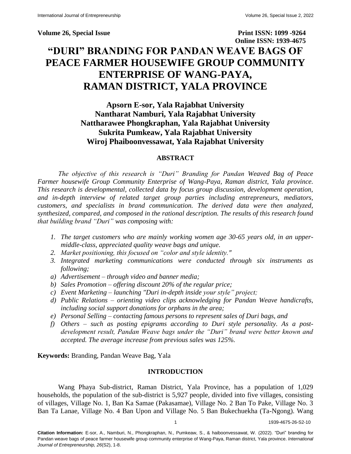**Volume 26, Special Issue Print ISSN: 1099 -9264 Online ISSN: 1939-4675 "DURI" BRANDING FOR PANDAN WEAVE BAGS OF PEACE FARMER HOUSEWIFE GROUP COMMUNITY ENTERPRISE OF WANG-PAYA, RAMAN DISTRICT, YALA PROVINCE**

> **Apsorn E-sor, Yala Rajabhat University Nantharat Namburi, Yala Rajabhat University Nattharawee Phongkraphan, Yala Rajabhat University Sukrita Pumkeaw, Yala Rajabhat University Wiroj Phaiboonvessawat, Yala Rajabhat University**

# **ABSTRACT**

*The objective of this research is "Duri" Branding for Pandan Weaved Bag of Peace Farmer housewife Group Community Enterprise of Wang-Paya, Raman district, Yala province. This research is developmental, collected data by focus group discussion, development operation, and in-depth interview of related target group parties including entrepreneurs, mediators, customers, and specialists in brand communication. The derived data were then analyzed, synthesized, compared, and composed in the rational description. The results of this research found that building brand "Duri" was composing with:* 

- *1. The target customers who are mainly working women age 30-65 years old, in an uppermiddle-class, appreciated quality weave bags and unique.*
- *2. Market positioning, this focused on "color and style identity."*
- *3. Integrated marketing communications were conducted through six instruments as following;*
- *a) Advertisement – through video and banner media;*
- *b) Sales Promotion – offering discount 20% of the regular price;*
- *c) Event Marketing – launching "Duri in-depth inside your style" project;*
- *d) Public Relations – orienting video clips acknowledging for Pandan Weave handicrafts, including social support donations for orphans in the area;*
- *e) Personal Selling – contacting famous persons to represent sales of Duri bags, and*
- *f) Others – such as posting epigrams according to Duri style personality. As a postdevelopment result, Pandan Weave bags under the "Duri" brand were better known and accepted. The average increase from previous sales was 125%.*

**Keywords:** Branding, Pandan Weave Bag, Yala

# **INTRODUCTION**

Wang Phaya Sub-district, Raman District, Yala Province, has a population of 1,029 households, the population of the sub-district is 5,927 people, divided into five villages, consisting of villages, Village No. 1, Ban Ka Samae (Pakasamae), Village No. 2 Ban To Pake, Village No. 3 Ban Ta Lanae, Village No. 4 Ban Upon and Village No. 5 Ban Bukechuekha (Ta-Ngong). Wang

1 1939-4675-26-S2-10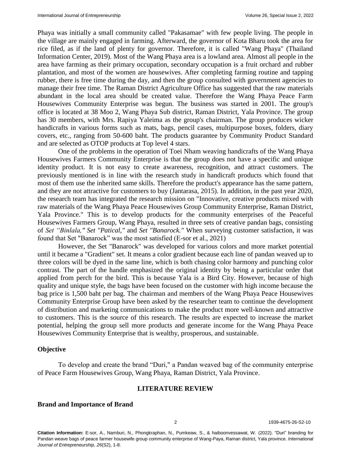Phaya was initially a small community called "Pakasamae" with few people living. The people in the village are mainly engaged in farming. Afterward, the governor of Kota Bharu took the area for rice filed, as if the land of plenty for governor. Therefore, it is called "Wang Phaya" (Thailand Information Center, 2019). Most of the Wang Phaya area is a lowland area. Almost all people in the area have farming as their primary occupation, secondary occupation is a fruit orchard and rubber plantation, and most of the women are housewives. After completing farming routine and tapping rubber, there is free time during the day, and then the group consulted with government agencies to manage their free time. The Raman District Agriculture Office has suggested that the raw materials abundant in the local area should be created value. Therefore the Wang Phaya Peace Farm Housewives Community Enterprise was begun. The business was started in 2001. The group's office is located at 38 Moo 2, Wang Phaya Sub district, Raman District, Yala Province. The group has 30 members, with Mrs. Rapiya Yaleima as the group's chairman. The group produces wicker handicrafts in various forms such as mats, bags, pencil cases, multipurpose boxes, folders, diary covers, etc., ranging from 50-600 baht. The products guarantee by Community Product Standard and are selected as OTOP products at Top level 4 stars.

One of the problems in the operation of Toei Nham weaving handicrafts of the Wang Phaya Housewives Farmers Community Enterprise is that the group does not have a specific and unique identity product. It is not easy to create awareness, recognition, and attract customers. The previously mentioned is in line with the research study in handicraft products which found that most of them use the inherited same skills. Therefore the product's appearance has the same pattern, and they are not attractive for customers to buy (Jantarasa, 2015). In addition, in the past year 2020, the research team has integrated the research mission on "Innovative, creative products mixed with raw materials of the Wang Phaya Peace Housewives Group Community Enterprise, Raman District, Yala Province." This is to develop products for the community enterprises of the Peaceful Housewives Farmers Group, Wang Phaya, resulted in three sets of creative pandan bags, consisting of *Set "Binlala," Set "Patical,"* and *Set "Banarock."* When surveying customer satisfaction, it was found that Set "Banarock" was the most satisfied (E-sor et al., 2021)

However, the Set "Banarock" was developed for various colors and more market potential until it became a "Gradient" set. It means a color gradient because each line of pandan weaved up to three colors will be dyed in the same line, which is both chasing color harmony and punching color contrast. The part of the handle emphasized the original identity by being a particular order that applied from perch for the bird. This is because Yala is a Bird City. However, because of high quality and unique style, the bags have been focused on the customer with high income because the bag price is 1,500 baht per bag. The chairman and members of the Wang Phaya Peace Housewives Community Enterprise Group have been asked by the researcher team to continue the development of distribution and marketing communications to make the product more well-known and attractive to customers. This is the source of this research. The results are expected to increase the market potential, helping the group sell more products and generate income for the Wang Phaya Peace Housewives Community Enterprise that is wealthy, prosperous, and sustainable.

#### **Objective**

To develop and create the brand "Duri," a Pandan weaved bag of the community enterprise of Peace Farm Housewives Group, Wang Phaya, Raman District, Yala Province.

#### **LITERATURE REVIEW**

### **Brand and Importance of Brand**

2 1939-4675-26-S2-10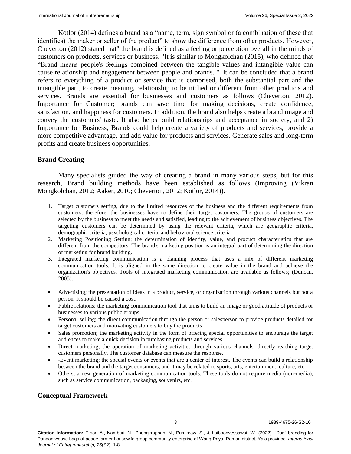Kotlor (2014) defines a brand as a "name, term, sign symbol or (a combination of these that identifies) the maker or seller of the product" to show the difference from other products. However, Cheverton (2012) stated that" the brand is defined as a feeling or perception overall in the minds of customers on products, services or business. "It is similar to Mongkolchan (2015), who defined that "Brand means people's feelings combined between the tangible values and intangible value can cause relationship and engagement between people and brands. ". It can be concluded that a brand refers to everything of a product or service that is comprised, both the substantial part and the intangible part, to create meaning, relationship to be niched or different from other products and services. Brands are essential for businesses and customers as follows (Cheverton, 2012). Importance for Customer; brands can save time for making decisions, create confidence, satisfaction, and happiness for customers. In addition, the brand also helps create a brand image and convey the customers' taste. It also helps build relationships and acceptance in society, and 2) Importance for Business; Brands could help create a variety of products and services, provide a more competitive advantage, and add value for products and services. Generate sales and long-term profits and create business opportunities.

### **Brand Creating**

Many specialists guided the way of creating a brand in many various steps, but for this research, Brand building methods have been established as follows (Improving (Vikran Mongkolchan, 2012; Aaker, 2010; Cheverton, 2012; Kotlor, 2014)).

- 1. Target customers setting, due to the limited resources of the business and the different requirements from customers, therefore, the businesses have to define their target customers. The groups of customers are selected by the business to meet the needs and satisfied, leading to the achievement of business objectives. The targeting customers can be determined by using the relevant criteria, which are geographic criteria, demographic criteria, psychological criteria, and behavioral science criteria
- 2. Marketing Positioning Setting; the determination of identity, value, and product characteristics that are different from the competitors. The brand's marketing position is an integral part of determining the direction of marketing for brand building.
- 3. Integrated marketing communication is a planning process that uses a mix of different marketing communication tools. It is aligned in the same direction to create value in the brand and achieve the organization's objectives. Tools of integrated marketing communication are available as follows; (Duncan, 2005).
- Advertising; the presentation of ideas in a product, service, or organization through various channels but not a person. It should be caused a cost.
- Public relations; the marketing communication tool that aims to build an image or good attitude of products or businesses to various public groups.
- Personal selling; the direct communication through the person or salesperson to provide products detailed for target customers and motivating customers to buy the products
- Sales promotion; the marketing activity in the form of offering special opportunities to encourage the target audiences to make a quick decision in purchasing products and services.
- Direct marketing; the operation of marketing activities through various channels, directly reaching target customers personally. The customer database can measure the response.
- -Event marketing; the special events or events that are a center of interest. The events can build a relationship between the brand and the target consumers, and it may be related to sports, arts, entertainment, culture, etc.
- Others; a new generation of marketing communication tools. These tools do not require media (non-media), such as service communication, packaging, souvenirs, etc.

# **Conceptual Framework**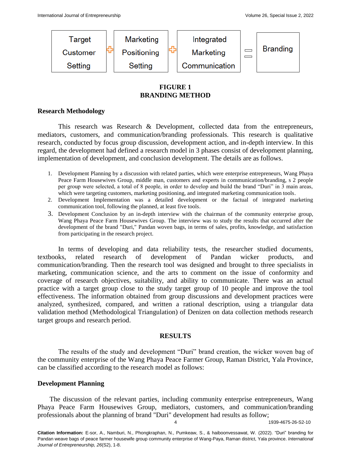

# **FIGURE 1 BRANDING METHOD**

# **Research Methodology**

This research was Research & Development, collected data from the entrepreneurs, mediators, customers, and communication/branding professionals. This research is qualitative research, conducted by focus group discussion, development action, and in-depth interview. In this regard, the development had defined a research model in 3 phases consist of development planning, implementation of development, and conclusion development. The details are as follows.

- 1. Development Planning by a discussion with related parties, which were enterprise entrepreneurs, Wang Phaya Peace Farm Housewives Group, middle man, customers and experts in communication/branding, s 2 people per group were selected, a total of 8 people, in order to develop and build the brand "Duri" in 3 main areas, which were targeting customers, marketing positioning, and integrated marketing communication tools.
- 2. Development Implementation was a detailed development or the factual of integrated marketing communication tool, following the planned, at least five tools.
- 3. Development Conclusion by an in-depth interview with the chairman of the community enterprise group, Wang Phaya Peace Farm Housewives Group. The interview was to study the results that occurred after the development of the brand "Duri," Pandan woven bags, in terms of sales, profits, knowledge, and satisfaction from participating in the research project.

In terms of developing and data reliability tests, the researcher studied documents, textbooks, related research of development of Pandan wicker products, and communication/branding. Then the research tool was designed and brought to three specialists in marketing, communication science, and the arts to comment on the issue of conformity and coverage of research objectives, suitability, and ability to communicate. There was an actual practice with a target group close to the study target group of 10 people and improve the tool effectiveness. The information obtained from group discussions and development practices were analyzed, synthesized, compared, and written a rational description, using a triangular data validation method (Methodological Triangulation) of Denizen on data collection methods research target groups and research period.

### **RESULTS**

The results of the study and development "Duri" brand creation, the wicker woven bag of the community enterprise of the Wang Phaya Peace Farmer Group, Raman District, Yala Province, can be classified according to the research model as follows:

### **Development Planning**

 The discussion of the relevant parties, including community enterprise entrepreneurs, Wang Phaya Peace Farm Housewives Group, mediators, customers, and communication/branding professionals about the planning of brand "Duri" development had results as follow;

4 1939-4675-26-S2-10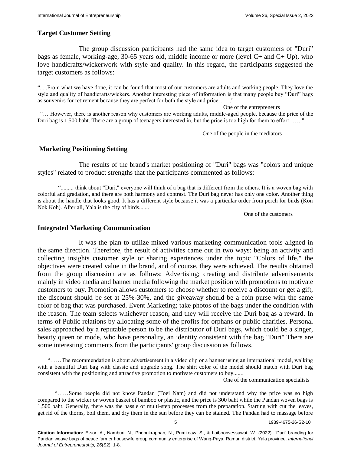### **Target Customer Setting**

The group discussion participants had the same idea to target customers of "Duri" bags as female, working-age, 30-65 years old, middle income or more (level C+ and C+ Up), who love handicrafts/wickerwork with style and quality. In this regard, the participants suggested the target customers as follows:

".....From what we have done, it can be found that most of our customers are adults and working people. They love the style and quality of handicrafts/wickers. Another interesting piece of information is that many people buy "Duri" bags as souvenirs for retirement because they are perfect for both the style and price……."

One of the entrepreneurs

 "… However, there is another reason why customers are working adults, middle-aged people, because the price of the Duri bag is 1,500 baht. There are a group of teenagers interested in, but the price is too high for them to effort……."

One of the people in the mediators

### **Marketing Positioning Setting**

The results of the brand's market positioning of "Duri" bags was "colors and unique styles" related to product strengths that the participants commented as follows:

"......... think about "Duri," everyone will think of a bag that is different from the others. It is a woven bag with colorful and gradation, and there are both harmony and contrast. The Duri bag never has only one color. Another thing is about the handle that looks good. It has a different style because it was a particular order from perch for birds (Kon Nok Koh). After all, Yala is the city of birds.......

One of the customers

#### **Integrated Marketing Communication**

 It was the plan to utilize mixed various marketing communication tools aligned in the same direction. Therefore, the result of activities came out in two ways: being an activity and collecting insights customer style or sharing experiences under the topic "Colors of life." the objectives were created value in the brand, and of course, they were achieved. The results obtained from the group discussion are as follows: Advertising; creating and distribute advertisements mainly in video media and banner media following the market position with promotions to motivate customers to buy. Promotion allows customers to choose whether to receive a discount or get a gift, the discount should be set at 25%-30%, and the giveaway should be a coin purse with the same color of bag that was purchased. Event Marketing; take photos of the bags under the condition with the reason. The team selects whichever reason, and they will receive the Duri bag as a reward. In terms of Public relations by allocating some of the profits for orphans or public charities. Personal sales approached by a reputable person to be the distributor of Duri bags, which could be a singer, beauty queen or mode, who have personality, an identity consistent with the bag "Duri" There are some interesting comments from the participants' group discussion as follows.

 "……The recommendation is about advertisement in a video clip or a banner using an international model, walking with a beautiful Duri bag with classic and upgrade song. The shirt color of the model should match with Duri bag consistent with the positioning and attractive promotion to motivate customers to buy.......

One of the communication specialists

 "……Some people did not know Pandan (Toei Nam) and did not understand why the price was so high compared to the wicker or woven basket of bamboo or plastic, and the price is 300 baht while the Pandan woven bags is 1,500 baht. Generally, there was the hassle of multi-step processes from the preparation. Starting with cut the leaves, get rid of the thorns, boil them, and dry them in the sun before they can be stained. The Pandan had to massage before

5 1939-4675-26-S2-10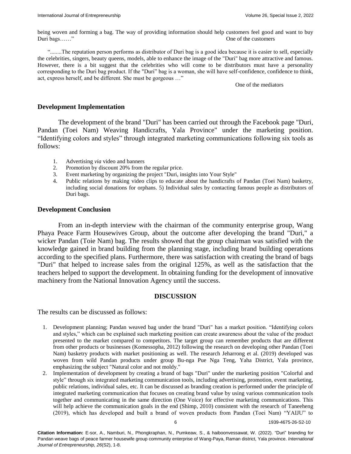being woven and forming a bag. The way of providing information should help customers feel good and want to buy Duri bags……" One of the customers

 "........The reputation person performs as distributor of Duri bag is a good idea because it is easier to sell, especially the celebrities, singers, beauty queens, models, able to enhance the image of the "Duri" bag more attractive and famous. However, there is a bit suggest that the celebrities who will come to be distributors must have a personality corresponding to the Duri bag product. If the "Duri" bag is a woman, she will have self-confidence, confidence to think, act, express herself, and be different. She must be gorgeous …"

One of the mediators

#### **Development Implementation**

 The development of the brand "Duri" has been carried out through the Facebook page "Duri, Pandan (Toei Nam) Weaving Handicrafts, Yala Province" under the marketing position. "Identifying colors and styles" through integrated marketing communications following six tools as follows:

- 1. Advertising *via* video and banners
- 2. Promotion by discount 20% from the regular price.
- 3. Event marketing by organizing the project "Duri, insights into Your Style"
- 4. Public relations by making video clips to educate about the handicrafts of Pandan (Toei Nam) basketry, including social donations for orphans. 5) Individual sales by contacting famous people as distributors of Duri bags.

#### **Development Conclusion**

 From an in-depth interview with the chairman of the community enterprise group, Wang Phaya Peace Farm Housewives Group, about the outcome after developing the brand "Duri," a wicker Pandan (Toie Nam) bag. The results showed that the group chairman was satisfied with the knowledge gained in brand building from the planning stage, including brand building operations according to the specified plans. Furthermore, there was satisfaction with creating the brand of bags "Duri" that helped to increase sales from the original 125%, as well as the satisfaction that the teachers helped to support the development. In obtaining funding for the development of innovative machinery from the National Innovation Agency until the success.

### **DISCUSSION**

The results can be discussed as follows:

- 1. Development planning; Pandan weaved bag under the brand "Duri" has a market position. "Identifying colors and styles," which can be explained such marketing position can create awareness about the value of the product presented to the market compared to competitors. The target group can remember products that are different from other products or businesses (Komessopha, 2012) following the research on developing other Pandan (Toei Nam) basketry products with market positioning as well. The research Jeharrong et al. (2019) developed was woven from wild Pandan products under group Bu-nga Pue Nga Teng, Yaha District, Yala province, emphasizing the subject "Natural color and not moldy."
- 2. Implementation of development by creating a brand of bags "Duri" under the marketing position "Colorful and style" through six integrated marketing communication tools, including advertising, promotion, event marketing, public relations, individual sales, etc. It can be discussed as branding creation is performed under the principle of integrated marketing communication that focuses on creating brand value by using various communication tools together and communicating in the same direction (One Voice) for effective marketing communications. This will help achieve the communication goals in the end (Shimp, 2010) consistent with the research of Taneeheng (2019), which has developed and built a brand of woven products from Pandan (Toei Nam) "YAIJU" to

6 1939-4675-26-S2-10